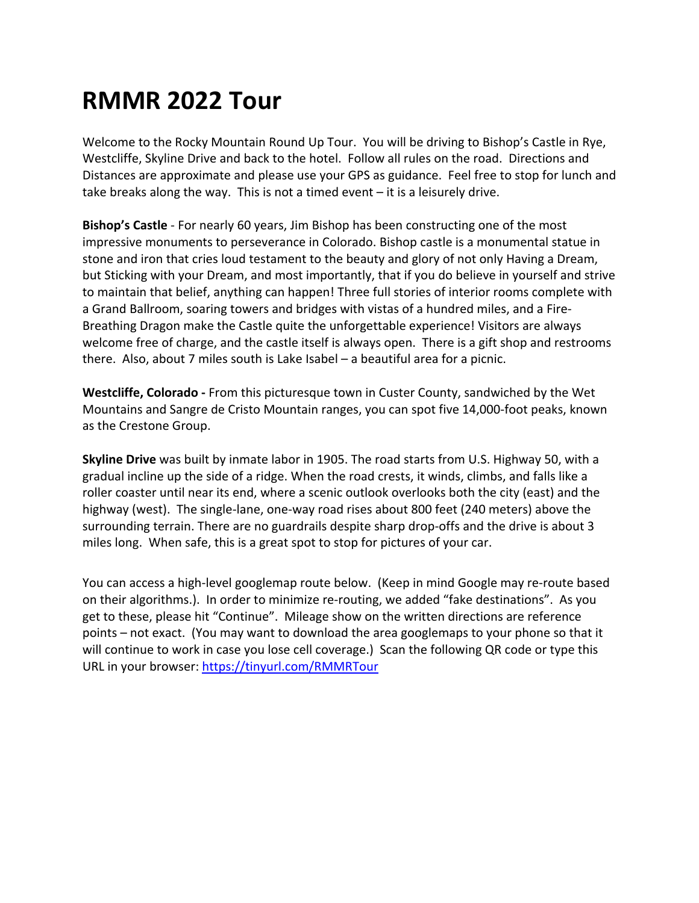## **RMMR 2022 Tour**

Welcome to the Rocky Mountain Round Up Tour. You will be driving to Bishop's Castle in Rye, Westcliffe, Skyline Drive and back to the hotel. Follow all rules on the road. Directions and Distances are approximate and please use your GPS as guidance. Feel free to stop for lunch and take breaks along the way. This is not a timed event – it is a leisurely drive.

**Bishop's Castle** - For nearly 60 years, Jim Bishop has been constructing one of the most impressive monuments to perseverance in Colorado. Bishop castle is a monumental statue in stone and iron that cries loud testament to the beauty and glory of not only Having a Dream, but Sticking with your Dream, and most importantly, that if you do believe in yourself and strive to maintain that belief, anything can happen! Three full stories of interior rooms complete with a Grand Ballroom, soaring towers and bridges with vistas of a hundred miles, and a Fire-Breathing Dragon make the Castle quite the unforgettable experience! Visitors are always welcome free of charge, and the castle itself is always open. There is a gift shop and restrooms there. Also, about 7 miles south is Lake Isabel – a beautiful area for a picnic.

**Westcliffe, Colorado -** From this picturesque town in Custer County, sandwiched by the Wet Mountains and Sangre de Cristo Mountain ranges, you can spot five 14,000-foot peaks, known as the Crestone Group.

**Skyline Drive** was built by inmate labor in 1905. The road starts from U.S. Highway 50, with a gradual incline up the side of a ridge. When the road crests, it winds, climbs, and falls like a roller coaster until near its end, where a scenic outlook overlooks both the city (east) and the highway (west). The single-lane, one-way road rises about 800 feet (240 meters) above the surrounding terrain. There are no guardrails despite sharp drop-offs and the drive is about 3 miles long. When safe, this is a great spot to stop for pictures of your car.

You can access a high-level googlemap route below. (Keep in mind Google may re-route based on their algorithms.). In order to minimize re-routing, we added "fake destinations". As you get to these, please hit "Continue". Mileage show on the written directions are reference points – not exact. (You may want to download the area googlemaps to your phone so that it will continue to work in case you lose cell coverage.) Scan the following QR code or type this URL in your browser: https://tinyurl.com/RMMRTour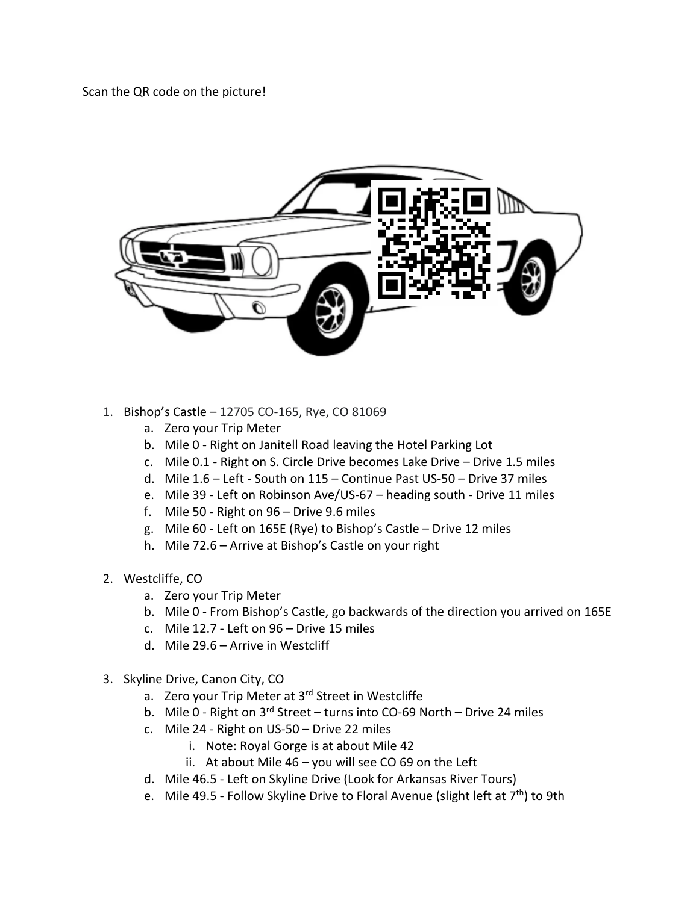Scan the QR code on the picture!



- 1. Bishop's Castle 12705 CO-165, Rye, CO 81069
	- a. Zero your Trip Meter
	- b. Mile 0 Right on Janitell Road leaving the Hotel Parking Lot
	- c. Mile 0.1 Right on S. Circle Drive becomes Lake Drive Drive 1.5 miles
	- d. Mile 1.6 Left South on 115 Continue Past US-50 Drive 37 miles
	- e. Mile 39 Left on Robinson Ave/US-67 heading south Drive 11 miles
	- f. Mile 50 Right on 96 Drive 9.6 miles
	- g. Mile 60 Left on 165E (Rye) to Bishop's Castle Drive 12 miles
	- h. Mile 72.6 Arrive at Bishop's Castle on your right
- 2. Westcliffe, CO
	- a. Zero your Trip Meter
	- b. Mile 0 From Bishop's Castle, go backwards of the direction you arrived on 165E
	- c. Mile 12.7 Left on 96 Drive 15 miles
	- d. Mile 29.6 Arrive in Westcliff
- 3. Skyline Drive, Canon City, CO
	- a. Zero your Trip Meter at 3<sup>rd</sup> Street in Westcliffe
	- b. Mile 0 Right on  $3^{rd}$  Street turns into CO-69 North Drive 24 miles
	- c. Mile 24 Right on US-50 Drive 22 miles
		- i. Note: Royal Gorge is at about Mile 42
		- ii. At about Mile 46 you will see CO 69 on the Left
	- d. Mile 46.5 Left on Skyline Drive (Look for Arkansas River Tours)
	- e. Mile 49.5 Follow Skyline Drive to Floral Avenue (slight left at  $7<sup>th</sup>$ ) to 9th